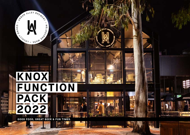

剛服

事体

# **KNOX FUNCTION PACK 2022**

**GOOD FOOD, GREAT BEER & FUN TIMES.**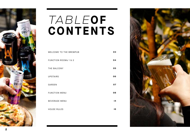

# *tab le***of CONTENTS**

| WELCOME TO THE BREWPUB | 03 |
|------------------------|----|
| FUNCTION ROOMs 1 & 2   | 04 |
| THE BALCONY            | 05 |
| <b>UPSTAIRS</b>        | 06 |
| GARDEN                 | 07 |
| <b>FUNCTION MENU</b>   | 08 |
| <b>BEVERAGE MENU</b>   | 14 |
| <b>HOUSE RULES</b>     | 16 |

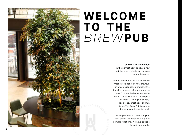# **welcome to the** *brew***pub**

### **URBAN ALLEY BREWPUB**

is the perfect spot to have a few drinks, grab a bite to eat or even watch the game.

Located in Wantirna's Knox Westfield Ozone precinct, our new brewpub offers an experience firsthand the brewing process, with fermentation tanks forming the backdrop to the rustic bar, as well as an on-display DASHER +FISHER gin distillery. Good food, great beer and fun times. The Brew Pub is sure to become your favourite local.

When you want to celebrate your next event, we cater from large to intimate functions. We have options to suit your needs.

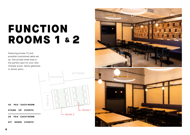# FUNCTION ROOMS 1 & 2

Featuring private TV and possible customized table set up, this private small area is the perfect spot for your next intimate event, family gatheries or dinner party.

KITCHEN TOILETS  $\circlearrowleft$ TOILETS $\overline{\mathbb{E}}$  $\frac{1}{2}$  $\overline{a}$  $-$  ROOM 1 ROOM 2

40 PAX - EACH ROOM

STAND UP EVENTS

28 PAX - EACH ROOM

SIT DOWN EVENTS

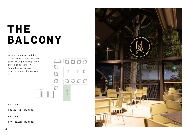# **THE BALCONY**

Located on the second floor of our venue, The Balcony has glass wall, high cealling, heater syatem and private TV. You will enjoy this great reserved space with a private bar.





STAND UP EVENTS

48 PAX

SIT DOWN EVENTS

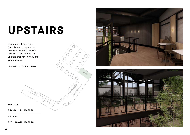# **UPSTAIRS**

TOILETS P

BAR

STATES

If your party is too large for only one of our spaces, combine THE MEZZANINE & THE BALCONY and have the upstairs area for only you and yuor guesses.

\*Private Bar, TV and Toilets

150 PAX

STAND UP EVENTS

98 PAX

SIT DOWN EVENTS



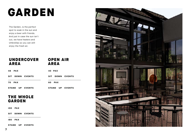# GARDEN

The Garden, is the perfect spot to soak in the sun and enjoy a beer with friends. And just in case the sun isn't out, we have heaters and Umbrellas so you can still enjoy the fresh air.

# UNDERCOVER AREA OPEN AIR AREA

| 48<br><b>PAX</b> | 40 PAX            |
|------------------|-------------------|
| SIT DOWN EVENTS  | SIT DOWN EVENTS   |
| <b>70 PAX</b>    | 60.<br><b>PAX</b> |
| STAND UP EVENTS  | STAND UP EVENTS   |

# THE WHOLE GARDEN

100 PAX

SIT DOWN EVENTS

180 PAX

STAND UP EVENTS

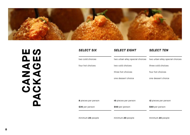

CANACES<br>PACKAGES **PACKAGESCANAPE**

| <b>SELECT SIX</b>   | <b>SELECT EIGHT</b>             | <b>SELECT TEN</b>               |
|---------------------|---------------------------------|---------------------------------|
| two cold choices    | two urban alley special choices | two urban alley special choices |
| four hot choices    | two cold choices                | three cold choices              |
|                     | three hot choices               | four hot choices                |
|                     | one dessert choice              | one dessert choice              |
|                     |                                 |                                 |
|                     |                                 |                                 |
| 8 pieces per person | 10 pieces per person            | 12 pieces per person            |
| \$35 per person     | \$50 per person                 | \$60 per person                 |
| minimum 20 people   | minimum 20 people               | minimum 20 people               |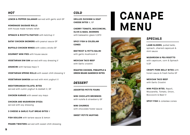# *HOT*

**LEMON & PEPPER CALAMARI** served with garlic aioli GF

**HOMEMADE SAUSAGE ROLLS**  with house made tomato relish

**SPINACH & RICOTTA PASTIZZI** with ketchup V

**SATAY CHICKEN SKEWERS** with peanut sauce GF

**BUFFALO CHICKEN WINGS** with celery sticks GF

**GOURMET MINI PIES** with house sauce

**VEGETARIAN DIM SIM** served with soy dressing V

**ARANCINI** with harissa mayo V

**VEGETARIAN SPRING ROLLS** with sweet chilli dressing V

**VEGETARIAN SAMOSA** served with mint yoghurt V

**MEDITERRANEAN FALAFEL BITES**  served with cumin yoghurt & dukkah V, GF

**CHICKEN KARAGE** with sweet soy mayo

**CHICKEN AND MUSHROOM GYOZA**  served with soy dressing

**3 CHEESE & GARLIC FLAT BREAD BITES** V

**FISH GOUJON** with tartare sauce & lemon

**PRAWN TWISTERS** served with sweet chilli dressing

# *COLD*

**GRILLED ZUCHINNI & GOAT CHEESE BITES** V, GF

**CHERRY TOMATO, BOCCONCINI, OLIVE & BASIL SKEWERS** with balasamic glaze V,GFO

**SPICY FISH & COLESLAW CONES** 

**BEETROOT & FETTA BALINI**  with garlic mushroom V

**MEXICAN TACO BEEF**  with Garlic crostini

**ROASTED CHICKEN, PINEAPPLE & GREEN BEANS SANDWICH BITES**

# *DESSERT*

**ASSORTED PETITE FOURS**

**MINI CHOCLATE BROWNIES**  with nutella & strawberry GF

**MINI CHURROS**  with chocolate foster sauce

# **SWEET PETITE MUFFINS**

# **CANAPE MENU**



# *SPECIALS*

**LAMB SLIDERS**, pulled lamb, spinach, charred capsicum & mint sauce

**MUSHROOM & PEA RISOTTO** with capsicum, corn & Spinach V,GF

**CRISPY PORK BELLY BITES** with hoisin sauce & fresh herbs GF

**MEXICAN TACO BEEF** with Garlic Crostini

**MINI PIZZA BITES**, Napoli, Mozzarella, Tomato, Onion, Boccocini & Basil V

**SPICY FISH** & coleslaw cones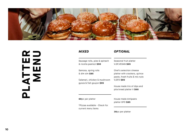

# **PLATTER**  PLATTENU

| MIXED                                                    | <b>OPTIONAL</b>                                                                            |
|----------------------------------------------------------|--------------------------------------------------------------------------------------------|
| Sausage rolls, pies & spinach<br>& ricotta pastizzi \$90 | Seasonal fruit platter<br>V.GF,VEGAN \$65                                                  |
| Samosa, spring rolls<br>& dim sim \$85                   | Chef's selection cheese<br>platter with crackers, quince<br>paste, fresh fruits & mix nuts |
| Calamari, chicken & mushroom<br>gyoza & fish goujon \$95 | V.GFO \$85                                                                                 |
|                                                          | House made trio of dips and<br>pita bread platter V \$60                                   |
| <b>60</b> per platter                                    | House made Antipasto<br>platter GFO \$85                                                   |
| *Pizzas available - Check for<br>current menu items      |                                                                                            |

30pc per platter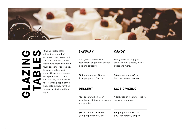

# **GLAZING**  ပတ **TABLES**  $\sum_{i=1}^{n}$ **BIVATO**

Grazing Tables offer a beautiful spread of gourmet cured meats, soft and hard cheeses, home made dips, fresh and dried fruit, seasonal vegetables, breads, crackers and more. These are presented on a pine wood tabletop and not only offers a wow factor when people arrive, but a relaxed way for them to enjoy a starter to their night.

# *SAVOURY*

| Your guests will enjoy an                                                    | Your guests will enjoy an                                |  |
|------------------------------------------------------------------------------|----------------------------------------------------------|--|
| assortment of gourmet cheese,                                                | assortment of sweets, lollies,                           |  |
| dips and antipasto.                                                          | treats and more.                                         |  |
| \$25 per person / 100 pax                                                    | \$10 per person / 100 pax                                |  |
| \$35 per person / 50 pax                                                     | \$15 per person / 50 pax                                 |  |
| <b>DESSERT</b>                                                               | <b>KIDS GRAZING</b>                                      |  |
| Your guests will enjoy an<br>assortment of desserts, sweets<br>and pastries. | A selection of treats for kids to<br>snack on and enjoy. |  |
| \$15 per person / 100 pax                                                    | \$15 per person / 100 pax                                |  |
| $$20$ per person $/50$ pax                                                   | \$20 per person / 50 pax                                 |  |

*CANDY*

**11**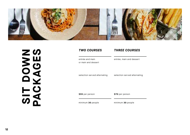

SIT DOVOES **SIT DOWN PACKAGES**

| <b>TWO COURSES</b> |  |
|--------------------|--|
|                    |  |

# *TWO COURSES THREE COURSES*

entrée and main or main and dessert entrée, main and dessert

selection served alternating

selection served alternating

\$55 per person \$70 per person

minimum 30 people minimum 30 people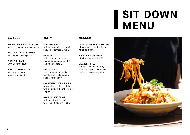# **SIT DOWN MENU**

**MUSHROOM & PEA ARANCINI**  with creamy mushroom sauce V

**LEMON PEPPER CALAMARI**  with sweet soy mayo GF

**THAI FISH CAKE** with Coconut sauce

**BRAISED PORK BELLY** with soy beans & dupuy lentil jus GF

**PORTERHOUSE** with polenta cake, broccolini, baby truss tomato & Jus GF

# **SALMON**

with lemon & pea risotto, champagne sauce, radish & snow pea shoots GF

# **PASTA VODKA**

Pea, vodka, onion, garlic, tomato sugo, solid cream, basil & parmesan V

## **JAMAICAN SPICED CHICKEN**

½ Caribbean spiced chicken with coleslaw & beer battered chips GFO

## **BRAISED LAMB SHANK**

with sweet potato mash, winter veg & red wine jus GF

# *ENTREE MAIN DESSERT*

**DOUBLE CHOCOLATE MOUSSE**  with crushed strawberries and whipped cream

**JACK DANIEL BROWNIE**  with hazelnut crumble GF

# **SPANISH TRIFLE**

Sponge cake, mixed berry coulis, whipped cream, fresh berries & orange segments

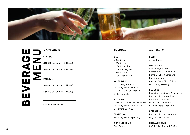

**BEVERAGE**  ш **MENU** $\overrightarrow{\mathbf{r}}$ EVEI m

# *PACKAGES CLASSIC PREMIUM*

**CLASSIC**

\$39.50 per person (3 Hours)

\$49.50 per person (4 Hours)

**PREMIUM**

\$49.50 per person (3 Hours)

\$59.50 per person (4 Hours)

minimum 50 people

**BEER** URBAN Ale URBAN Lager URBAN Slapshot URBAN All Nighter URBAN Myth OZONE Pacific Ale

**WHITE WINE** 821 Sauvignon Blanc Rothbury Estate Semillon Burns & Fuller Chardonnay Buller Moscato

**RED WINE** Down the Lane Shiraz Tempranillo Rothbury Estate Cab Merlot Beverford Cab Sauv

**SPARKLING** Rothbury Estate Sparkling

**NON ALCOHOLIC** Soft Drinks

# **BEER**

All tap beers

## **WHITE WINE**

821 Sauvignon Blanc Rothbury Estate Semillon Burns & Fuller Chardonnay Buller Moscato Are you Game Pinot Grigio Leo Buring Riesling

## **RED WINE**

Down the Lane Shiraz Tempranillo Rothbury Estate CabMerlot Beverford CabSauv. Little Giant Grenache Farm to Table Pinot Noir

## **SPARKLING**

Rothbury Estate Sparkling Dogarina Prosecco

**NON ALCOHOLIC** Soft Drinks, Tea and Coffee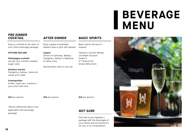# **BEVERAGE MENU**

# *PRE DINNER COCKTAIL*

Enjoy a cocktail at the start of your other beverage package.

## **OPTIONS INCLUDE**

**Champagne cocktail**

served over a bitters soaked sugar cube

# **Snickers martini**

Frangelico, kahlua, crème de cacao and cream

# **Cosmopolitan**

Vodka, triple sec, cranberry juice and fresh lime

\$15 per person

\$16 per person \$16 per person

*AFTER DINNER*

Enjoy a glass of australian

Choice of Cointreau, Baileys, Frangelico, Kahlua or Sambuca

Served either neat or over ice

**Liqueur**

to name a few

dessert wine or port with dessert

\*Above additional option only applicable with beverage package

# *NOT SURE*

*BASIC SPIRITS*

Basic spirits served on

Teacher,s Scotch Whisky Jim Beam bourbon

request

Vodka O 2nd Chance Gin Stolen White Rum

Feel free to put together a package with the beverages of your choice and we will price it for you, or on consumption.

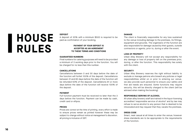# **HOUSE RULES**

## **DEPOSIT**

A deposit of 20% with a minimum \$500 is required to be paid as confirmation of your booking.

# **PAYMENT OF YOUR DEPOSIT IS ACCEPTED AS AN AGREEMENT TO THESE TERMS AND CONDITIONS**

## **GUARANTEED NUMBERS**

Final numbers for catering purposes will need to be provided a minimum of 3 working days prior to the function. You will be charged for no less than this number.

## **CANCELLATIONS**

Cancellations between 0 and 30 days before the date of the function will forfeit 100% of the deposit. Cancellations between 31 and 60 days before the date of the function will be refunded 50% of the deposit. Cancellations 61 or more days before the date of the function will receive 100% of the deposit.

## **PAYMENT**

Full function payment must be received no later than the 3 days before the function. Payment can be made by cash, credit card or eftpos.

# **PRICES**

Prices are correct at the time of printing. every effort is made to ensure prices remain as printed however these may be subject to change without notice at management's discretion. all pricing is inclusive of GST.

# **DAMAGE**

The client is financially responsible for any loss sustained to the venue including damage to the premises, its fittings, equipment and grounds. The organisers of the function are also responsible for damage caused by their guests, outside contractors or agents, prior to, during or after the event.

# **LOSS OF PROPERTY**

Urban Alley Brewery will not accept any responsibility for any damage or loss of property left on the premises prior, during, or after the function. This responsibility lies solely with the client.

# **SECURITY**

Urban Alley Brewery reserves the right without liability to exclude or manage patrons who breach any policies or legal responsibilities whilst on or prior to entering our venue. we also provide such personnel to ensure your safety and first aid needs are ensured. Some functions may require security, this will be directly charged to the client (will be advised when making the booking)

# **RESPONSIBLE SERVING OF ALCOHOL**

All urban alley brewery staff are trained in the liquor licensing accredited 'responsible service of alcohol' and by law may refuse to serve alcohol to any person that is deemed to be intoxicated and may request that they vacate the premises.

# **DRESS CODE**

Smart, neat casual at all times to enter the venue; however dress standards are to be appropriate to the requirements of the function.